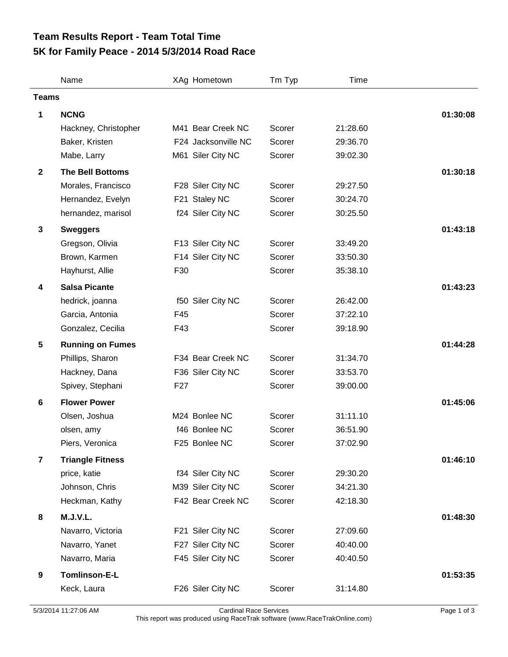## **5K for Family Peace - 2014 5/3/2014 Road Race Team Results Report - Team Total Time**

|                 | Name                    | XAg Hometown        | Tm Typ | Time     |          |
|-----------------|-------------------------|---------------------|--------|----------|----------|
| <b>Teams</b>    |                         |                     |        |          |          |
| 1               | <b>NCNG</b>             |                     |        |          | 01:30:08 |
|                 | Hackney, Christopher    | M41 Bear Creek NC   | Scorer | 21:28.60 |          |
|                 | Baker, Kristen          | F24 Jacksonville NC | Scorer | 29:36.70 |          |
|                 | Mabe, Larry             | M61 Siler City NC   | Scorer | 39:02.30 |          |
| $\overline{2}$  | <b>The Bell Bottoms</b> |                     |        |          | 01:30:18 |
|                 | Morales, Francisco      | F28 Siler City NC   | Scorer | 29:27.50 |          |
|                 | Hernandez, Evelyn       | F21 Staley NC       | Scorer | 30:24.70 |          |
|                 | hernandez, marisol      | f24 Siler City NC   | Scorer | 30:25.50 |          |
| $\mathbf{3}$    | <b>Sweggers</b>         |                     |        |          | 01:43:18 |
|                 | Gregson, Olivia         | F13 Siler City NC   | Scorer | 33:49.20 |          |
|                 | Brown, Karmen           | F14 Siler City NC   | Scorer | 33:50.30 |          |
|                 | Hayhurst, Allie         | F30                 | Scorer | 35:38.10 |          |
| 4               | <b>Salsa Picante</b>    |                     |        |          | 01:43:23 |
|                 | hedrick, joanna         | f50 Siler City NC   | Scorer | 26:42.00 |          |
|                 | Garcia, Antonia         | F45                 | Scorer | 37:22.10 |          |
|                 | Gonzalez, Cecilia       | F43                 | Scorer | 39:18.90 |          |
| $5\phantom{.0}$ | <b>Running on Fumes</b> |                     |        |          | 01:44:28 |
|                 | Phillips, Sharon        | F34 Bear Creek NC   | Scorer | 31:34.70 |          |
|                 | Hackney, Dana           | F36 Siler City NC   | Scorer | 33:53.70 |          |
|                 | Spivey, Stephani        | F <sub>27</sub>     | Scorer | 39:00.00 |          |
| 6               | <b>Flower Power</b>     |                     |        |          | 01:45:06 |
|                 | Olsen, Joshua           | M24 Bonlee NC       | Scorer | 31:11.10 |          |
|                 | olsen, amy              | f46 Bonlee NC       | Scorer | 36:51.90 |          |
|                 | Piers, Veronica         | F25 Bonlee NC       | Scorer | 37:02.90 |          |
| $\overline{7}$  | <b>Triangle Fitness</b> |                     |        |          | 01:46:10 |
|                 | price, katie            | f34 Siler City NC   | Scorer | 29:30.20 |          |
|                 | Johnson, Chris          | M39 Siler City NC   | Scorer | 34:21.30 |          |
|                 | Heckman, Kathy          | F42 Bear Creek NC   | Scorer | 42:18.30 |          |
| 8               | M.J.V.L.                |                     |        |          | 01:48:30 |
|                 | Navarro, Victoria       | F21 Siler City NC   | Scorer | 27:09.60 |          |
|                 | Navarro, Yanet          | F27 Siler City NC   | Scorer | 40:40.00 |          |
|                 | Navarro, Maria          | F45 Siler City NC   | Scorer | 40:40.50 |          |
| 9               | Tomlinson-E-L           |                     |        |          | 01:53:35 |
|                 | Keck, Laura             | F26 Siler City NC   | Scorer | 31:14.80 |          |
|                 |                         |                     |        |          |          |

5/3/2014 11:27:06 AM Cardinal Race Services Page 1 of 3 This report was produced using RaceTrak software (www.RaceTrakOnline.com)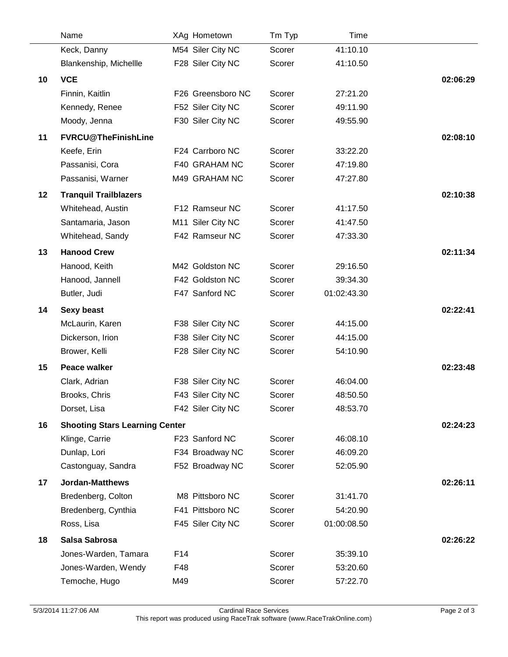|    | Name                                  |     | XAg Hometown      | Tm Typ | Time        |          |
|----|---------------------------------------|-----|-------------------|--------|-------------|----------|
|    | Keck, Danny                           |     | M54 Siler City NC | Scorer | 41:10.10    |          |
|    | Blankenship, Michellle                |     | F28 Siler City NC | Scorer | 41:10.50    |          |
| 10 | <b>VCE</b>                            |     |                   |        |             | 02:06:29 |
|    | Finnin, Kaitlin                       |     | F26 Greensboro NC | Scorer | 27:21.20    |          |
|    | Kennedy, Renee                        |     | F52 Siler City NC | Scorer | 49:11.90    |          |
|    | Moody, Jenna                          |     | F30 Siler City NC | Scorer | 49:55.90    |          |
| 11 | <b>FVRCU@TheFinishLine</b>            |     |                   |        |             | 02:08:10 |
|    | Keefe, Erin                           |     | F24 Carrboro NC   | Scorer | 33:22.20    |          |
|    | Passanisi, Cora                       |     | F40 GRAHAM NC     | Scorer | 47:19.80    |          |
|    | Passanisi, Warner                     |     | M49 GRAHAM NC     | Scorer | 47:27.80    |          |
| 12 | <b>Tranquil Trailblazers</b>          |     |                   |        |             | 02:10:38 |
|    | Whitehead, Austin                     |     | F12 Ramseur NC    | Scorer | 41:17.50    |          |
|    | Santamaria, Jason                     |     | M11 Siler City NC | Scorer | 41:47.50    |          |
|    | Whitehead, Sandy                      |     | F42 Ramseur NC    | Scorer | 47:33.30    |          |
| 13 | <b>Hanood Crew</b>                    |     |                   |        |             | 02:11:34 |
|    | Hanood, Keith                         |     | M42 Goldston NC   | Scorer | 29:16.50    |          |
|    | Hanood, Jannell                       |     | F42 Goldston NC   | Scorer | 39:34.30    |          |
|    | Butler, Judi                          |     | F47 Sanford NC    | Scorer | 01:02:43.30 |          |
| 14 | <b>Sexy beast</b>                     |     |                   |        |             | 02:22:41 |
|    | McLaurin, Karen                       |     | F38 Siler City NC | Scorer | 44:15.00    |          |
|    | Dickerson, Irion                      |     | F38 Siler City NC | Scorer | 44:15.00    |          |
|    | Brower, Kelli                         |     | F28 Siler City NC | Scorer | 54:10.90    |          |
| 15 | <b>Peace walker</b>                   |     |                   |        |             | 02:23:48 |
|    | Clark, Adrian                         |     | F38 Siler City NC | Scorer | 46:04.00    |          |
|    | Brooks, Chris                         |     | F43 Siler City NC | Scorer | 48:50.50    |          |
|    | Dorset, Lisa                          |     | F42 Siler City NC | Scorer | 48:53.70    |          |
| 16 | <b>Shooting Stars Learning Center</b> |     |                   |        |             | 02:24:23 |
|    | Klinge, Carrie                        |     | F23 Sanford NC    | Scorer | 46:08.10    |          |
|    | Dunlap, Lori                          |     | F34 Broadway NC   | Scorer | 46:09.20    |          |
|    | Castonguay, Sandra                    |     | F52 Broadway NC   | Scorer | 52:05.90    |          |
| 17 | <b>Jordan-Matthews</b>                |     |                   |        |             | 02:26:11 |
|    | Bredenberg, Colton                    |     | M8 Pittsboro NC   | Scorer | 31:41.70    |          |
|    | Bredenberg, Cynthia                   |     | F41 Pittsboro NC  | Scorer | 54:20.90    |          |
|    | Ross, Lisa                            |     | F45 Siler City NC | Scorer | 01:00:08.50 |          |
| 18 | Salsa Sabrosa                         |     |                   |        |             | 02:26:22 |
|    | Jones-Warden, Tamara                  | F14 |                   | Scorer | 35:39.10    |          |
|    | Jones-Warden, Wendy                   | F48 |                   | Scorer | 53:20.60    |          |
|    | Temoche, Hugo                         | M49 |                   | Scorer | 57:22.70    |          |
|    |                                       |     |                   |        |             |          |